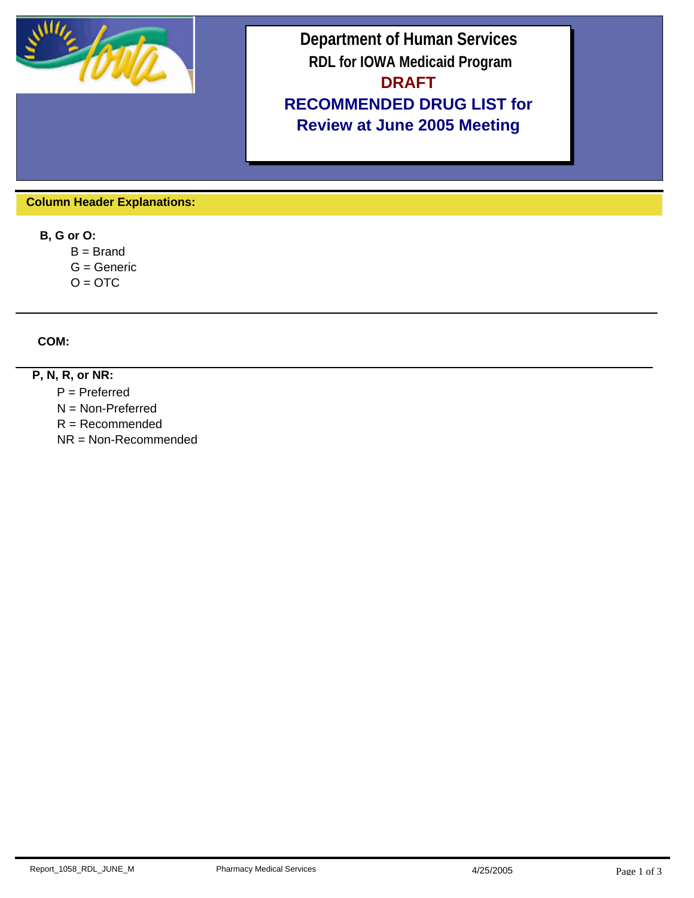

## **Department of Human Services RDL for IOWA Medicaid Program DRAFT RECOMMENDED DRUG LIST for Review at June 2005 Meeting**

 **Column Header Explanations:**

 **B, G or O:**

 $B = Brand$ 

 $G =$  Generic

 $O = OTC$ 

 **COM:**

## **P, N, R, or NR:**

P = Preferred

N = Non-Preferred

R = Recommended

NR = Non-Recommended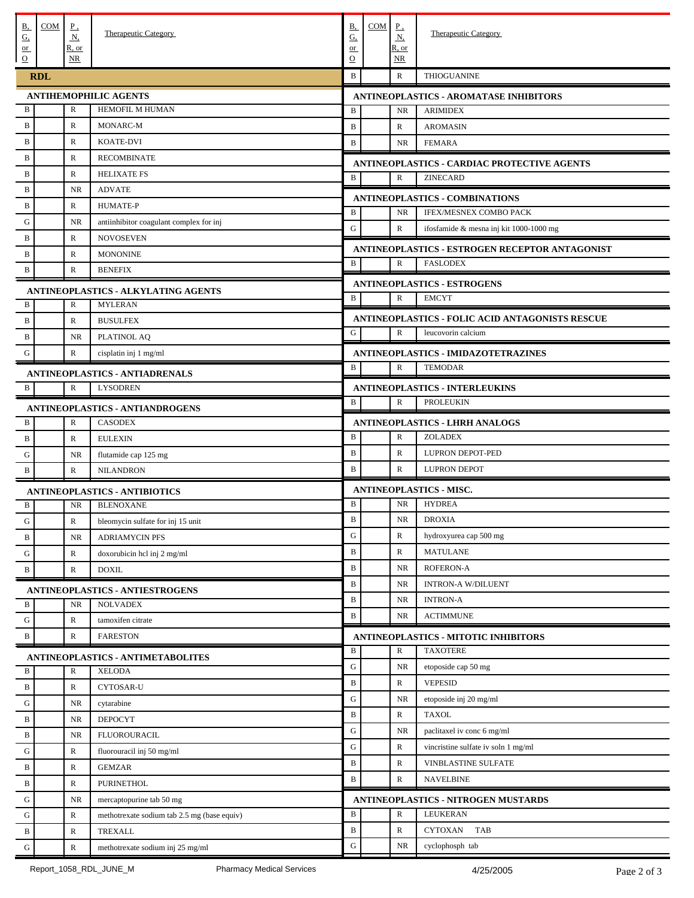| <u>B,</u><br>$\underline{G}$         | COM                             | $\underline{P}$ .<br>$\underline{\mathbf{N}}$ | Therapeutic Category                                      | <u>B,</u><br><u>G,</u> | COM                                                                | $\underline{P}$<br>$\underline{\mathbf{N}}$                                        | <b>Therapeutic Category</b>                                     |  |  |  |
|--------------------------------------|---------------------------------|-----------------------------------------------|-----------------------------------------------------------|------------------------|--------------------------------------------------------------------|------------------------------------------------------------------------------------|-----------------------------------------------------------------|--|--|--|
| $or$<br>$\overline{0}$               |                                 | R, or<br>NR                                   |                                                           | $or$<br>$\Omega$       |                                                                    | <u>R, or</u><br>$\overline{\text{NR}}$                                             |                                                                 |  |  |  |
|                                      | <b>RDL</b>                      |                                               |                                                           | $\, {\bf B}$           |                                                                    | $\mathbb{R}$                                                                       | THIOGUANINE                                                     |  |  |  |
| <b>ANTIHEMOPHILIC AGENTS</b>         |                                 |                                               |                                                           |                        |                                                                    | <b>ANTINEOPLASTICS - AROMATASE INHIBITORS</b>                                      |                                                                 |  |  |  |
| B                                    |                                 | R                                             | HEMOFIL M HUMAN                                           | B                      |                                                                    | <b>NR</b>                                                                          | <b>ARIMIDEX</b>                                                 |  |  |  |
| $\, {\bf B}$                         |                                 | R                                             | MONARC-M                                                  | $\mathbf B$            |                                                                    | $\mathbb{R}$                                                                       | <b>AROMASIN</b>                                                 |  |  |  |
| $\, {\bf B}$                         |                                 | $\mathbb{R}$                                  | <b>KOATE-DVI</b>                                          | B                      |                                                                    | <b>NR</b>                                                                          | <b>FEMARA</b>                                                   |  |  |  |
| B                                    |                                 | R                                             | <b>RECOMBINATE</b>                                        |                        | ANTINEOPLASTICS - CARDIAC PROTECTIVE AGENTS                        |                                                                                    |                                                                 |  |  |  |
| $\, {\bf B}$                         |                                 | $\mathbb{R}$                                  | <b>HELIXATE FS</b>                                        | B                      |                                                                    | $\mathbb{R}$<br><b>ZINECARD</b>                                                    |                                                                 |  |  |  |
| B                                    |                                 | <b>NR</b>                                     | <b>ADVATE</b>                                             |                        |                                                                    |                                                                                    |                                                                 |  |  |  |
| $\, {\bf B}$                         |                                 | $\mathbb{R}$                                  | <b>HUMATE-P</b>                                           | B                      |                                                                    | <b>NR</b>                                                                          | <b>ANTINEOPLASTICS - COMBINATIONS</b><br>IFEX/MESNEX COMBO PACK |  |  |  |
| G                                    |                                 | NR.                                           | antiinhibitor coagulant complex for inj                   | G                      |                                                                    | $\mathbb{R}$                                                                       |                                                                 |  |  |  |
| B                                    |                                 | R                                             | <b>NOVOSEVEN</b>                                          |                        |                                                                    |                                                                                    | ifosfamide & mesna inj kit 1000-1000 mg                         |  |  |  |
| $\mathbf B$                          |                                 | $\mathbb{R}$                                  | <b>MONONINE</b>                                           |                        |                                                                    |                                                                                    | ANTINEOPLASTICS - ESTROGEN RECEPTOR ANTAGONIST                  |  |  |  |
| B                                    |                                 | $\mathbb{R}$                                  | <b>BENEFIX</b>                                            | B                      |                                                                    | R                                                                                  | <b>FASLODEX</b>                                                 |  |  |  |
|                                      |                                 |                                               | <b>ANTINEOPLASTICS - ALKYLATING AGENTS</b>                |                        |                                                                    |                                                                                    | <b>ANTINEOPLASTICS - ESTROGENS</b>                              |  |  |  |
| B                                    |                                 | $\mathbb R$                                   | <b>MYLERAN</b>                                            | B                      |                                                                    | $\mathbb{R}$                                                                       | <b>EMCYT</b>                                                    |  |  |  |
| B                                    |                                 | $\mathbb{R}$                                  | <b>BUSULFEX</b>                                           |                        |                                                                    |                                                                                    | <b>ANTINEOPLASTICS - FOLIC ACID ANTAGONISTS RESCUE</b>          |  |  |  |
| B                                    |                                 | <b>NR</b>                                     | PLATINOL AQ                                               | G                      |                                                                    | $\mathbb{R}$                                                                       | leucovorin calcium                                              |  |  |  |
| G                                    |                                 | $\mathbb{R}$                                  | cisplatin inj 1 mg/ml                                     |                        |                                                                    |                                                                                    |                                                                 |  |  |  |
|                                      |                                 |                                               |                                                           | $\, {\bf B}$           | ANTINEOPLASTICS - IMIDAZOTETRAZINES<br>${\bf R}$<br><b>TEMODAR</b> |                                                                                    |                                                                 |  |  |  |
|                                      |                                 |                                               | <b>ANTINEOPLASTICS - ANTIADRENALS</b>                     |                        |                                                                    |                                                                                    |                                                                 |  |  |  |
| B                                    |                                 | $\mathbb{R}$                                  | <b>LYSODREN</b>                                           |                        |                                                                    |                                                                                    | <b>ANTINEOPLASTICS - INTERLEUKINS</b>                           |  |  |  |
|                                      |                                 |                                               | <b>ANTINEOPLASTICS - ANTIANDROGENS</b>                    | B                      |                                                                    | $\mathbb{R}$                                                                       | <b>PROLEUKIN</b>                                                |  |  |  |
| В                                    |                                 | R                                             | <b>CASODEX</b>                                            |                        | <b>ANTINEOPLASTICS - LHRH ANALOGS</b>                              |                                                                                    |                                                                 |  |  |  |
| $\, {\bf B}$                         |                                 | $\mathbb{R}$                                  | <b>EULEXIN</b>                                            | B                      |                                                                    | R                                                                                  | <b>ZOLADEX</b>                                                  |  |  |  |
| ${\bf G}$                            |                                 | <b>NR</b>                                     | flutamide cap 125 mg                                      | $\mathbf B$            |                                                                    | $\mathbb{R}$                                                                       | LUPRON DEPOT-PED                                                |  |  |  |
| B                                    |                                 | $\mathbb{R}$                                  | <b>NILANDRON</b>                                          | B                      |                                                                    | $\mathbb{R}$                                                                       | <b>LUPRON DEPOT</b>                                             |  |  |  |
| <b>ANTINEOPLASTICS - ANTIBIOTICS</b> |                                 |                                               |                                                           |                        | <b>ANTINEOPLASTICS - MISC.</b>                                     |                                                                                    |                                                                 |  |  |  |
| B                                    |                                 | <b>NR</b>                                     | <b>BLENOXANE</b>                                          | $\, {\bf B}$           |                                                                    | <b>NR</b>                                                                          | <b>HYDREA</b>                                                   |  |  |  |
| G                                    |                                 | $\mathbb{R}$                                  | bleomycin sulfate for inj 15 unit                         | $\mathbf B$            |                                                                    | <b>NR</b>                                                                          | <b>DROXIA</b>                                                   |  |  |  |
| B                                    |                                 | NR                                            | <b>ADRIAMYCIN PFS</b>                                     | ${\bf G}$              |                                                                    | $\mathbb R$                                                                        | hydroxyurea cap 500 mg                                          |  |  |  |
| ${\bf G}$                            |                                 | $\mathbb{R}$                                  | doxorubicin hcl inj 2 mg/ml                               | $\mathbf B$            |                                                                    | $\mathbb{R}$                                                                       | <b>MATULANE</b>                                                 |  |  |  |
| $\, {\bf B}$                         |                                 | $\mathbb{R}$                                  | <b>DOXIL</b>                                              | $\mathbf B$            |                                                                    | <b>NR</b>                                                                          | ROFERON-A                                                       |  |  |  |
|                                      |                                 |                                               |                                                           | $\bf{B}$               |                                                                    | <b>NR</b>                                                                          | <b>INTRON-A W/DILUENT</b>                                       |  |  |  |
| B                                    |                                 | NR                                            | <b>ANTINEOPLASTICS - ANTIESTROGENS</b><br><b>NOLVADEX</b> | $\mathbf B$            |                                                                    | NR                                                                                 | <b>INTRON-A</b>                                                 |  |  |  |
|                                      |                                 |                                               |                                                           | $\mathbf B$            |                                                                    | NR                                                                                 | <b>ACTIMMUNE</b>                                                |  |  |  |
| ${\bf G}$                            |                                 | $\mathbb{R}$                                  | tamoxifen citrate                                         |                        |                                                                    |                                                                                    |                                                                 |  |  |  |
| $\, {\bf B}$                         | $\mathbb{R}$<br><b>FARESTON</b> |                                               |                                                           |                        |                                                                    | <b>ANTINEOPLASTICS - MITOTIC INHIBITORS</b><br>$\mathbb R$<br><b>TAXOTERE</b><br>B |                                                                 |  |  |  |
|                                      |                                 |                                               | ANTINEOPLASTICS - ANTIMETABOLITES                         | ${\bf G}$              |                                                                    | NR                                                                                 | etoposide cap 50 mg                                             |  |  |  |
| B                                    |                                 | R                                             | <b>XELODA</b>                                             | $\bf{B}$               |                                                                    | ${\mathbb R}$                                                                      | <b>VEPESID</b>                                                  |  |  |  |
| $\, {\bf B}$                         |                                 | $\mathbb{R}$                                  | CYTOSAR-U                                                 | G                      |                                                                    | <b>NR</b>                                                                          | etoposide inj 20 mg/ml                                          |  |  |  |
| ${\bf G}$                            |                                 | NR.                                           | cytarabine                                                | $\bf{B}$               |                                                                    |                                                                                    |                                                                 |  |  |  |
| B                                    |                                 | NR.                                           | <b>DEPOCYT</b>                                            |                        |                                                                    | $\mathbb R$                                                                        | <b>TAXOL</b>                                                    |  |  |  |
| $\, {\bf B}$                         |                                 | NR                                            | <b>FLUOROURACIL</b>                                       | G                      |                                                                    | NR                                                                                 | paclitaxel iv conc 6 mg/ml                                      |  |  |  |
| G                                    |                                 | $\mathbb{R}$                                  | fluorouracil inj 50 mg/ml                                 | G                      |                                                                    | $\mathbb R$                                                                        | vincristine sulfate iv soln 1 mg/ml                             |  |  |  |
| B                                    |                                 | $\mathbb{R}$                                  | <b>GEMZAR</b>                                             | $\mathbf B$            |                                                                    | $\mathbb R$                                                                        | VINBLASTINE SULFATE                                             |  |  |  |
|                                      |                                 |                                               | <b>PURINETHOL</b>                                         | $\mathbf B$            |                                                                    | $\mathbb R$                                                                        | <b>NAVELBINE</b>                                                |  |  |  |
| B                                    |                                 | $\mathbb{R}$                                  |                                                           |                        |                                                                    |                                                                                    |                                                                 |  |  |  |
| G                                    |                                 | NR                                            | mercaptopurine tab 50 mg                                  |                        |                                                                    |                                                                                    | ANTINEOPLASTICS - NITROGEN MUSTARDS                             |  |  |  |
| G                                    |                                 | $\mathbb R$                                   | methotrexate sodium tab 2.5 mg (base equiv)               | $\, {\bf B}$           |                                                                    | $\mathbb R$                                                                        | <b>LEUKERAN</b>                                                 |  |  |  |
| B                                    |                                 | $\mathbb{R}$                                  | TREXALL                                                   | $\mathbf B$            |                                                                    | $\mathbb R$                                                                        | CYTOXAN TAB                                                     |  |  |  |